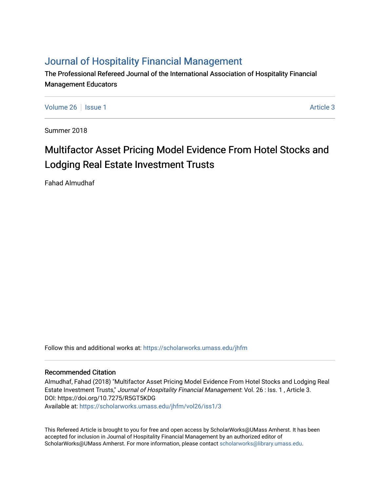# [Journal of Hospitality Financial Management](https://scholarworks.umass.edu/jhfm)

The Professional Refereed Journal of the International Association of Hospitality Financial Management Educators

[Volume 26](https://scholarworks.umass.edu/jhfm/vol26) | [Issue 1](https://scholarworks.umass.edu/jhfm/vol26/iss1) Article 3

Summer 2018

# Multifactor Asset Pricing Model Evidence From Hotel Stocks and Lodging Real Estate Investment Trusts

Fahad Almudhaf

Follow this and additional works at: [https://scholarworks.umass.edu/jhfm](https://scholarworks.umass.edu/jhfm?utm_source=scholarworks.umass.edu%2Fjhfm%2Fvol26%2Fiss1%2F3&utm_medium=PDF&utm_campaign=PDFCoverPages) 

# Recommended Citation

Almudhaf, Fahad (2018) "Multifactor Asset Pricing Model Evidence From Hotel Stocks and Lodging Real Estate Investment Trusts," Journal of Hospitality Financial Management: Vol. 26 : Iss. 1 , Article 3. DOI: https://doi.org/10.7275/R5GT5KDG Available at: [https://scholarworks.umass.edu/jhfm/vol26/iss1/3](https://scholarworks.umass.edu/jhfm/vol26/iss1/3?utm_source=scholarworks.umass.edu%2Fjhfm%2Fvol26%2Fiss1%2F3&utm_medium=PDF&utm_campaign=PDFCoverPages) 

This Refereed Article is brought to you for free and open access by ScholarWorks@UMass Amherst. It has been accepted for inclusion in Journal of Hospitality Financial Management by an authorized editor of ScholarWorks@UMass Amherst. For more information, please contact [scholarworks@library.umass.edu.](mailto:scholarworks@library.umass.edu)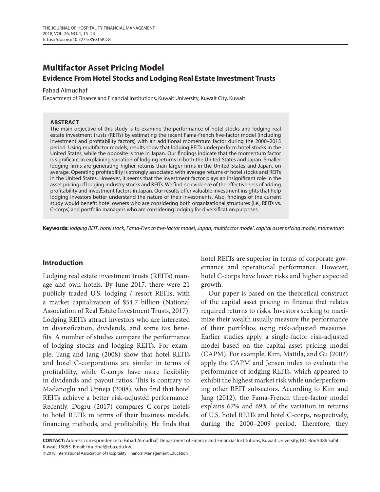# **Multifactor Asset Pricing Model Evidence From Hotel Stocks and Lodging Real Estate Investment Trusts**

#### Fahad Almudhaf

Department of Finance and Financial Institutions, Kuwait University, Kuwait City, Kuwait

#### **ABSTRACT**

The main objective of this study is to examine the performance of hotel stocks and lodging real estate investment trusts (REITs) by estimating the recent Fama-French five-factor model (including investment and profitability factors) with an additional momentum factor during the 2000–2015 period. Using multifactor models, results show that lodging REITs underperform hotel stocks in the United States, while the opposite is true in Japan. Our findings indicate that the momentum factor is significant in explaining variation of lodging returns in both the United States and Japan. Smaller lodging firms are generating higher returns than larger firms in the United States and Japan, on average. Operating profitability is strongly associated with average returns of hotel stocks and REITs in the United States. However, it seems that the investment factor plays an insignificant role in the asset pricing of lodging industry stocks and REITs. We find no evidence of the effectiveness of adding profitability and investment factors in Japan. Our results offer valuable investment insights that help lodging investors better understand the nature of their investments. Also, findings of the current study would benefit hotel owners who are considering both organizational structures (i.e., REITs vs. C-corps) and portfolio managers who are considering lodging for diversification purposes.

**Keywords:** *lodging REIT*, *hotel stock*, *Fama-French five-factor model*, *Japan*, *multifactor model*, *capital asset pricing model*, *momentum*

# **Introduction**

Lodging real estate investment trusts (REITs) manage and own hotels. By June 2017, there were 21 publicly traded U.S. lodging / resort REITs, with a market capitalization of \$54.7 billion (National Association of Real Estate Investment Trusts, 2017). Lodging REITs attract investors who are interested in diversification, dividends, and some tax benefits. A number of studies compare the performance of lodging stocks and lodging REITs. For example, Tang and Jang (2008) show that hotel REITs and hotel C-corporations are similar in terms of profitability, while C-corps have more flexibility in dividends and payout ratios. This is contrary to Madanoglu and Upneja (2008), who find that hotel REITs achieve a better risk-adjusted performance. Recently, Dogru (2017) compares C-corps hotels to hotel REITs in terms of their business models, financing methods, and profitability. He finds that

hotel REITs are superior in terms of corporate governance and operational performance. However, hotel C-corps have lower risks and higher expected growth.

Our paper is based on the theoretical construct of the capital asset pricing in finance that relates required returns to risks. Investors seeking to maximize their wealth usually measure the performance of their portfolios using risk-adjusted measures. Earlier studies apply a single-factor risk-adjusted model based on the capital asset pricing model (CAPM). For example, Kim, Mattila, and Gu (2002) apply the CAPM and Jensen index to evaluate the performance of lodging REITs, which appeared to exhibit the highest market risk while underperforming other REIT subsectors. According to Kim and Jang (2012), the Fama-French three-factor model explains 67% and 69% of the variation in returns of U.S. hotel REITs and hotel C-corps, respectively, during the 2000–2009 period. Therefore, they

**CONTACT:** Address correspondence to Fahad Almudhaf, Department of Finance and Financial Institutions, Kuwait University, P.O. Box 5486 Safat, Kuwait 13055. Email: fmudhaf@cba.edu.kw.

© 2018 International Association of Hospitality Financial Management Education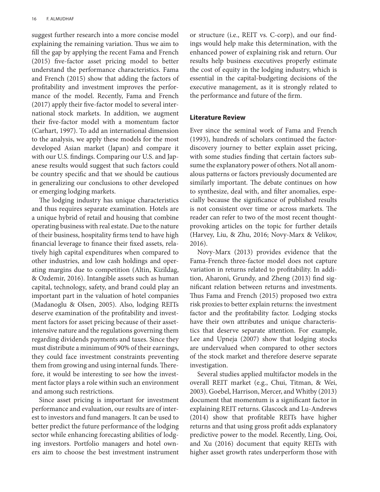suggest further research into a more concise model explaining the remaining variation. Thus we aim to fill the gap by applying the recent Fama and French (2015) five-factor asset pricing model to better understand the performance characteristics. Fama and French (2015) show that adding the factors of profitability and investment improves the performance of the model. Recently, Fama and French (2017) apply their five-factor model to several international stock markets. In addition, we augment their five-factor model with a momentum factor (Carhart, 1997). To add an international dimension to the analysis, we apply these models for the most developed Asian market (Japan) and compare it with our U.S. findings. Comparing our U.S. and Japanese results would suggest that such factors could be country specific and that we should be cautious in generalizing our conclusions to other developed or emerging lodging markets.

The lodging industry has unique characteristics and thus requires separate examination. Hotels are a unique hybrid of retail and housing that combine operating business with real estate. Due to the nature of their business, hospitality firms tend to have high financial leverage to finance their fixed assets, relatively high capital expenditures when compared to other industries, and low cash holdings and operating margins due to competition (Altin, Kizildag, & Ozdemir, 2016). Intangible assets such as human capital, technology, safety, and brand could play an important part in the valuation of hotel companies (Madanoglu & Olsen, 2005). Also, lodging REITs deserve examination of the profitability and investment factors for asset pricing because of their assetintensive nature and the regulations governing them regarding dividends payments and taxes. Since they must distribute a minimum of 90% of their earnings, they could face investment constraints preventing them from growing and using internal funds. Therefore, it would be interesting to see how the investment factor plays a role within such an environment and among such restrictions.

Since asset pricing is important for investment performance and evaluation, our results are of interest to investors and fund managers. It can be used to better predict the future performance of the lodging sector while enhancing forecasting abilities of lodging investors. Portfolio managers and hotel owners aim to choose the best investment instrument or structure (i.e., REIT vs. C-corp), and our findings would help make this determination, with the enhanced power of explaining risk and return. Our results help business executives properly estimate the cost of equity in the lodging industry, which is essential in the capital-budgeting decisions of the executive management, as it is strongly related to the performance and future of the firm.

# **Literature Review**

Ever since the seminal work of Fama and French (1993), hundreds of scholars continued the factordiscovery journey to better explain asset pricing, with some studies finding that certain factors subsume the explanatory power of others. Not all anomalous patterns or factors previously documented are similarly important. The debate continues on how to synthesize, deal with, and filter anomalies, especially because the significance of published results is not consistent over time or across markets. The reader can refer to two of the most recent thoughtprovoking articles on the topic for further details (Harvey, Liu, & Zhu, 2016; Novy-Marx & Velikov, 2016).

Novy-Marx (2013) provides evidence that the Fama-French three-factor model does not capture variation in returns related to profitability. In addition, Aharoni, Grundy, and Zheng (2013) find significant relation between returns and investments. Thus Fama and French (2015) proposed two extra risk proxies to better explain returns: the investment factor and the profitability factor. Lodging stocks have their own attributes and unique characteristics that deserve separate attention. For example, Lee and Upneja (2007) show that lodging stocks are undervalued when compared to other sectors of the stock market and therefore deserve separate investigation.

Several studies applied multifactor models in the overall REIT market (e.g., Chui, Titman, & Wei, 2003). Goebel, Harrison, Mercer, and Whitby (2013) document that momentum is a significant factor in explaining REIT returns. Glascock and Lu-Andrews (2014) show that profitable REITs have higher returns and that using gross profit adds explanatory predictive power to the model. Recently, Ling, Ooi, and Xu (2016) document that equity REITs with higher asset growth rates underperform those with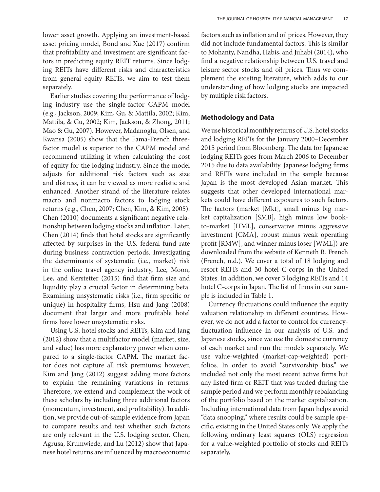Earlier studies covering the performance of lodging industry use the single-factor CAPM model (e.g., Jackson, 2009; Kim, Gu, & Mattila, 2002; Kim, Mattila, & Gu, 2002; Kim, Jackson, & Zhong, 2011; Mao & Gu, 2007). However, Madanoglu, Olsen, and Kwansa (2005) show that the Fama-French threefactor model is superior to the CAPM model and recommend utilizing it when calculating the cost of equity for the lodging industry. Since the model adjusts for additional risk factors such as size and distress, it can be viewed as more realistic and enhanced. Another strand of the literature relates macro and nonmacro factors to lodging stock returns (e.g., Chen, 2007; Chen, Kim, & Kim, 2005). Chen (2010) documents a significant negative relationship between lodging stocks and inflation. Later, Chen (2014) finds that hotel stocks are significantly affected by surprises in the U.S. federal fund rate during business contraction periods. Investigating the determinants of systematic (i.e., market) risk in the online travel agency industry, Lee, Moon, Lee, and Kerstetter (2015) find that firm size and liquidity play a crucial factor in determining beta. Examining unsystematic risks (i.e., firm specific or unique) in hospitality firms, Hsu and Jang (2008) document that larger and more profitable hotel firms have lower unsystematic risks.

Using U.S. hotel stocks and REITs, Kim and Jang (2012) show that a multifactor model (market, size, and value) has more explanatory power when compared to a single-factor CAPM. The market factor does not capture all risk premiums; however, Kim and Jang (2012) suggest adding more factors to explain the remaining variations in returns. Therefore, we extend and complement the work of these scholars by including three additional factors (momentum, investment, and profitability). In addition, we provide out-of-sample evidence from Japan to compare results and test whether such factors are only relevant in the U.S. lodging sector. Chen, Agrusa, Krumwiede, and Lu (2012) show that Japanese hotel returns are influenced by macroeconomic

factors such as inflation and oil prices. However, they did not include fundamental factors. This is similar to Mohanty, Nandha, Habis, and Juhabi (2014), who find a negative relationship between U.S. travel and leisure sector stocks and oil prices. Thus we complement the existing literature, which adds to our understanding of how lodging stocks are impacted by multiple risk factors.

# **Methodology and Data**

We use historical monthly returns of U.S. hotel stocks and lodging REITs for the January 2000–December 2015 period from Bloomberg. The data for Japanese lodging REITs goes from March 2006 to December 2015 due to data availability. Japanese lodging firms and REITs were included in the sample because Japan is the most developed Asian market. This suggests that other developed international markets could have different exposures to such factors. The factors (market [Mkt], small minus big market capitalization [SMB], high minus low bookto-market [HML], conservative minus aggressive investment [CMA], robust minus weak operating profit [RMW], and winner minus loser [WML]) are downloaded from the website of Kenneth R. French (French, n.d.). We cover a total of 18 lodging and resort REITs and 30 hotel C-corps in the United States. In addition, we cover 3 lodging REITs and 14 hotel C-corps in Japan. The list of firms in our sample is included in Table 1.

Currency fluctuations could influence the equity valuation relationship in different countries. However, we do not add a factor to control for currencyfluctuation influence in our analysis of U.S. and Japanese stocks, since we use the domestic currency of each market and run the models separately. We use value-weighted (market-cap-weighted) portfolios. In order to avoid "survivorship bias," we included not only the most recent active firms but any listed firm or REIT that was traded during the sample period and we perform monthly rebalancing of the portfolio based on the market capitalization. Including international data from Japan helps avoid "data snooping," where results could be sample specific, existing in the United States only. We apply the following ordinary least squares (OLS) regression for a value-weighted portfolio of stocks and REITs separately,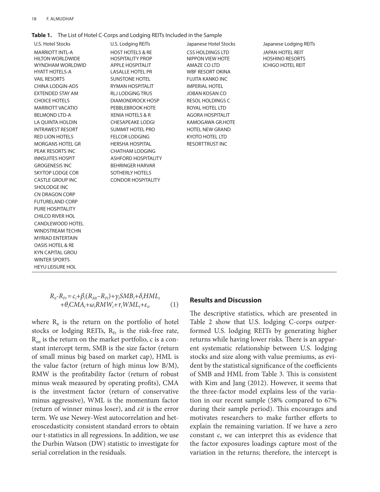#### 18 F. Almudhaf

**Table 1.** The List of Hotel C-Corps and Lodging REITs Included in the Sample

| U.S. Hotel Stocks                                                                                     |
|-------------------------------------------------------------------------------------------------------|
| <b>MARRIOTT INTL-A</b><br><b>HILTON WORLDWIDE</b><br><b>WYNDHAM WORLDWID</b><br><b>HYATT HOTELS-A</b> |
| <b>VAIL RESORTS</b>                                                                                   |
| <b>CHINA LODGIN-ADS</b>                                                                               |
| <b>FXTENDED STAY AM</b>                                                                               |
| <b>CHOICE HOTELS</b>                                                                                  |
| <b>MARRIOTT VACATIO</b>                                                                               |
| <b>BELMOND LTD-A</b>                                                                                  |
| LA OUINTA HOLDIN                                                                                      |
| <b>INTRAWEST RESORT</b>                                                                               |
| <b>RED LION HOTELS</b>                                                                                |
| MORGANS HOTEL GR                                                                                      |
| PEAK RESORTS INC                                                                                      |
| <b>INNSUITES HOSPIT</b>                                                                               |
| <b>GROGENESIS INC</b>                                                                                 |
| <b>SKYTOP LODGE COR</b>                                                                               |
| <b>CASTLE GROUP INC</b>                                                                               |
| SHOLODGE INC                                                                                          |
| CN DRAGON CORP                                                                                        |
| <b>FUTURELAND CORP</b>                                                                                |
| <b>PURE HOSPITALITY</b>                                                                               |
| <b>CHILCO RIVER HOL</b>                                                                               |
| <b>CANDLEWOOD HOTEL</b>                                                                               |
| WINDSTREAM TECHN                                                                                      |
| <b>MYRIAD ENTERTAIN</b>                                                                               |
| <b>OASIS HOTEL &amp; RE</b>                                                                           |
| <b>KYN CAPITAL GROU</b>                                                                               |
| <b>WINTER SPORTS</b>                                                                                  |
| <b>HEYU LEISURE HOL</b>                                                                               |

U.S. Hotel Stocks U.S. Lodging REITs Japanese Hotel Stocks Japanese Lodging REITs HOST HOTELS & RE CSS HOLDINGS LTD FOR A HOTEL REIT HOSPITALITY PROP **NIPPON VIEW HOTE** HOSHINO RESORTS APPLE HOSPITALIT AMAZE CO LTD ICHIGO HOTEL REIT LASALLE HOTEL PR WBF RESORT OKINA SUNSTONE HOTEL FUJITA KANKO INC RYMAN HOSPITALIT IMPERIAL HOTEL RLJ LODGING TRUS JOBAN KOSAN CO DIAMONDROCK HOSP RESOL HOLDINGS C PEBBLEBROOK HOTE ROYAL HOTEL LTD XENIA HOTELS & R AGORA HOSPITALIT CHESAPEAKE LODGI KAMOGAWA GR.HOTE SUMMIT HOTEL PRO HOTEL NEW GRAND FELCOR LODGING KYOTO HOTEL LTD HERSHA HOSPITAL RESORTTRUST INC **CHATHAM LODGING** ASHFORD HOSPITALITY BEHRINGER HARVAR SOTHERLY HOTELS CONDOR HOSPITALITY

$$
R_{it} - R_{Ft} = c_i + \beta_i (R_{Mt} - R_{Ft}) + \gamma_i SMB_t + \delta_i HML_t + \theta_i CMA_t + \omega_i RMW_t + \tau_i WML_t + \varepsilon_{it}
$$
 (1)

where  $R_{it}$  is the return on the portfolio of hotel stocks or lodging REITs,  $R_{Ft}$  is the risk-free rate,  $R<sub>mt</sub>$  is the return on the market portfolio, c is a constant intercept term, SMB is the size factor (return of small minus big based on market cap), HML is the value factor (return of high minus low B/M), RMW is the profitability factor (return of robust minus weak measured by operating profits), CMA is the investment factor (return of conservative minus aggressive), WML is the momentum factor (return of winner minus loser), and *εit* is the error term. We use Newey-West autocorrelation and heteroscedasticity consistent standard errors to obtain our t-statistics in all regressions. In addition, we use the Durbin Watson (DW) statistic to investigate for serial correlation in the residuals.

### **Results and Discussion**

The descriptive statistics, which are presented in Table 2 show that U.S. lodging C-corps outperformed U.S. lodging REITs by generating higher returns while having lower risks. There is an apparent systematic relationship between U.S. lodging stocks and size along with value premiums, as evident by the statistical significance of the coefficients of SMB and HML from Table 3. This is consistent with Kim and Jang (2012). However, it seems that the three-factor model explains less of the variation in our recent sample (58% compared to 67% during their sample period). This encourages and motivates researchers to make further efforts to explain the remaining variation. If we have a zero constant c, we can interpret this as evidence that the factor exposures loadings capture most of the variation in the returns; therefore, the intercept is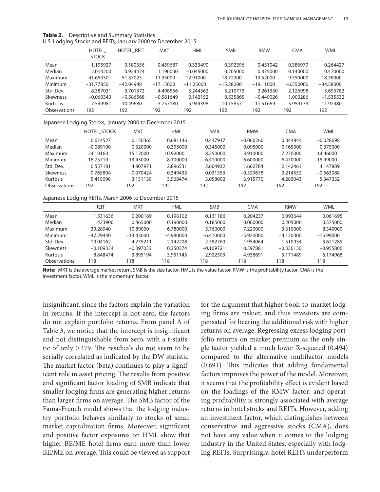| ╯<br>╯              |                       |                   |             |             |             |             |             |             |
|---------------------|-----------------------|-------------------|-------------|-------------|-------------|-------------|-------------|-------------|
|                     | HOTEL<br><b>STOCK</b> | <b>HOTEL REIT</b> | <b>MKT</b>  | <b>HML</b>  | <b>SMB</b>  | <b>RMW</b>  | <b>CMA</b>  | <b>WML</b>  |
| Mean                | 1.195927              | 0.180356          | 0.459687    | 0.333490    | 0.392396    | 0.451042    | 0.386979    | 0.264427    |
| Median              | 2.014200              | 0.924474          | 1.190000    | $-0.045000$ | 0.205000    | 0.375000    | 0.140000    | 0.470000    |
| Maximum             | 41.65030              | 51.37025          | 11.35000    | 12.91000    | 18,72000    | 13.52000    | 9.550000    | 18.38000    |
| Minimum             | $-31.77850$           | $-42.04948$       | $-17.15000$ | $-11.25000$ | $-15.28000$ | $-19.11000$ | $-6.550000$ | $-34.58000$ |
| Std. Dev.           | 8.387031              | 9.701372          | 4.498556    | 3.244362    | 3.219773    | 3.261330    | 2.126998    | 5.693782    |
| <b>Skewness</b>     | $-0.060343$           | $-0.586568$       | $-0.561649$ | 0.142152    | 0.535865    | $-0.449026$ | 1.000286    | $-1.535532$ |
| Kurtosis            | 7.549981              | 10.49680          | 3.757180    | 5.944398    | 10.15857    | 11.51669    | 5.959133    | 11.92480    |
| <b>Observations</b> | 192                   | 192               | 192         | 192         | 192         | 192         | 192         | 192         |
|                     |                       |                   |             |             |             |             |             |             |

**Table 2.** Descriptive and Summary Statistics U.S. Lodging Stocks and REITs, January 2000 to December 2015

### Japanese Lodging Stocks, January 2000 to December 2015

| ້               |             |             |             |             |             |             |             |
|-----------------|-------------|-------------|-------------|-------------|-------------|-------------|-------------|
|                 | HOTEL STOCK | <b>MKT</b>  | <b>HML</b>  | <b>SMB</b>  | <b>RMW</b>  | <b>CMA</b>  | <b>WML</b>  |
| Mean            | 0.614527    | 0.150365    | 0.681146    | 0.447917    | $-0.060260$ | 0.344844    | $-0.028698$ |
| Median          | $-0.089100$ | 0.320000    | 0.395000    | 0.345000    | 0.095000    | 0.165000    | 0.375000    |
| Maximum         | 24.10160    | 15.12000    | 10.92000    | 8.250000    | 3.910000    | 7.270000    | 14.46000    |
| <b>Minimum</b>  | $-18.75710$ | $-13.43000$ | $-8.100000$ | $-6.410000$ | $-6.600000$ | $-6.470000$ | $-15.99000$ |
| Std. Dev.       | 6.557181    | 4.807971    | 2.896531    | 2.664932    | 1.662784    | 2.142461    | 4.147889    |
| <b>Skewness</b> | 0.765804    | $-0.070424$ | 0.349435    | 0.031353    | $-0.529678$ | 0.214552    | $-0.563088$ |
| Kurtosis        | 5.415098    | 3.151130    | 3.968474    | 3.058002    | 3.915770    | 4.283043    | 5.347332    |
| Observations    | 192         | 192         | 192         | 192         | 192         | 192         | 192         |

#### Japanese Lodging REITs, March 2006 to December 2015

|                     | <b>REIT</b> | MKT         | <b>HML</b>  | <b>SMB</b>  | <b>CMA</b>  | <b>RMW</b>  | <b>WML</b>  |
|---------------------|-------------|-------------|-------------|-------------|-------------|-------------|-------------|
| Mean                | 1.531636    | 0.200169    | 0.196102    | 0.131186    | 0.204237    | 0.093644    | 0.061695    |
| Median              | 1.423900    | 0.465000    | 0.190000    | 0.185000    | 0.060000    | 0.205000    | 0.375000    |
| Maximum             | 39.28940    | 10.89000    | 6.780000    | 5.760000    | 7.220000    | 3.310000    | 8.340000    |
| <b>Minimum</b>      | $-47.29440$ | $-13.43000$ | $-4.980000$ | $-6.410000$ | $-5.920000$ | $-4.170000$ | $-15.99000$ |
| Std. Dev.           | 10.04162    | 4.275211    | 2.142208    | 2.382760    | 1.954064    | 1.510934    | 3.621289    |
| <b>Skewness</b>     | $-0.109334$ | $-0.397033$ | 0.350374    | $-0.109721$ | 0.397881    | $-0.336130$ | $-0.955806$ |
| Kurtosis            | 8.848474    | 3.895194    | 3.951145    | 2.922503    | 4.938691    | 3.171489    | 6.174968    |
| <b>Observations</b> | 118         | 118         | 18          | 118         | 118         | 118         | 118         |

**Note:** MKT is the average market return. SMB is the size factor. HML is the value factor. RMW is the profitability factor. CMA is the investment factor. WML is the momentum factor.

insignificant, since the factors explain the variation in returns. If the intercept is not zero, the factors do not explain portfolio returns. From panel A of Table 3, we notice that the intercept is insignificant and not distinguishable from zero, with a t-statistic of only 0.479. The residuals do not seem to be serially correlated as indicated by the DW statistic. The market factor (beta) continues to play a significant role in asset pricing. The results from positive and significant factor loading of SMB indicate that smaller lodging firms are generating higher returns than larger firms on average. The SMB factor of the Fama-French model shows that the lodging industry portfolio behaves similarly to stocks of small market capitalization firms. Moreover, significant and positive factor exposures on HML show that higher BE/ME hotel firms earn more than lower BE/ME on average. This could be viewed as support

for the argument that higher book-to-market lodging firms are riskier, and thus investors are compensated for bearing the additional risk with higher returns on average. Regressing excess lodging portfolio returns on market premium as the only single factor yielded a much lower R-squared (0.494) compared to the alternative multifactor models (0.691). This indicates that adding fundamental factors improves the power of the model. Moreover, it seems that the profitability effect is evident based on the loadings of the RMW factor, and operating profitability is strongly associated with average returns in hotel stocks and REITs. However, adding an investment factor, which distinguishes between conservative and aggressive stocks (CMA), does not have any value when it comes to the lodging industry in the United States, especially with lodging REITs. Surprisingly, hotel REITs underperform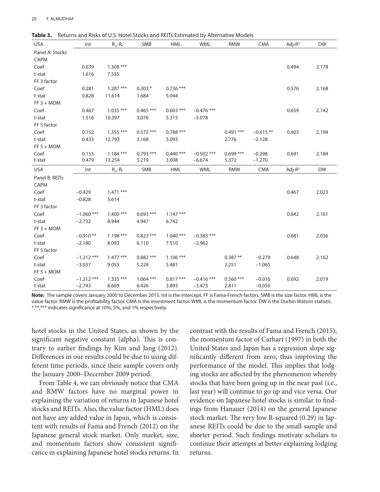| <b>USA</b>      | Int          | $R_m - R_f$ | <b>SMB</b>  | <b>HML</b>  | <b>WML</b>   | <b>RMW</b>  | <b>CMA</b> | Adj- $R^2$ | <b>DW</b> |
|-----------------|--------------|-------------|-------------|-------------|--------------|-------------|------------|------------|-----------|
| Panel A: Stocks |              |             |             |             |              |             |            |            |           |
| CAPM            |              |             |             |             |              |             |            |            |           |
| Coef            | 0.639        | $1.308***$  |             |             |              |             |            | 0.494      | 2.178     |
| t-stat          | 1.616        | 7.535       |             |             |              |             |            |            |           |
| FF 3 factor     |              |             |             |             |              |             |            |            |           |
| Coef            | 0.281        | $1.287***$  | $0.303*$    | $0.736***$  |              |             |            | 0.576      | 2.168     |
| t-stat          | 0.828        | 11.614      | 1.684       | 5.044       |              |             |            |            |           |
| $FF 3 + MOM$    |              |             |             |             |              |             |            |            |           |
| Coef            | 0.467        | $1.035***$  | $0.465***$  | $0.603$ *** | $-0.476$ *** |             |            | 0.659      | 2.142     |
| t-stat          | 1.516        | 10.397      | 3.076       | 5.315       | $-5.078$     |             |            |            |           |
| FF 5 factor     |              |             |             |             |              |             |            |            |           |
| Coef            | 0.152        | $1.355***$  | $0.572$ *** | $0.788***$  |              | $0.491$ *** | $-0.615**$ | 0.603      | 2.194     |
| t-stat          | 0.433        | 12.793      | 3.168       | 5.093       |              | 2.776       | $-2.128$   |            |           |
| $FF 5 + MOM$    |              |             |             |             |              |             |            |            |           |
| Coef            | 0.153        | $1.184***$  | $0.793$ *** | $0.440$ *** | $-0.502$ *** | $0.699$ *** | $-0.298$   | 0.691      | 2.184     |
| t-stat          | 0.479        | 12.254      | 5.219       | 3.008       | $-6.674$     | 5.372       | $-1.270$   |            |           |
| <b>USA</b>      | Int          | $R_m - R_f$ | SMB         | <b>HML</b>  | <b>WML</b>   | <b>RMW</b>  | <b>CMA</b> | Adj- $R^2$ | <b>DW</b> |
| Panel B: REITs  |              |             |             |             |              |             |            |            |           |
| CAPM            |              |             |             |             |              |             |            |            |           |
|                 |              |             |             |             |              |             |            |            |           |
| Coef            | $-0.429$     | $1.471$ *** |             |             |              |             |            | 0.467      | 2.023     |
| t-stat          | $-0.828$     | 5.614       |             |             |              |             |            |            |           |
| FF 3 factor     |              |             |             |             |              |             |            |            |           |
| Coef            | $-1.060$ *** | $1.400***$  | $0.693$ *** | $1.147***$  |              |             |            | 0.642      | 2.161     |
| t-stat          | $-2.732$     | 8.944       | 4.947       | 6.742       |              |             |            |            |           |
| $FF 3 + MOM$    |              |             |             |             |              |             |            |            |           |
| Coef            | $-0.910**$   | $1.198***$  | $0.823$ *** | $1.040***$  | $-0.383$ *** |             |            | 0.681      | 2.056     |
| t-stat          | $-2.180$     | 8.093       | 6.110       | 7.510       | $-2.962$     |             |            |            |           |
| FF 5 factor     |              |             |             |             |              |             |            |            |           |
| Coef            | $-1.212$ *** | $1.477$ *** | $0.882$ *** | $1.106$ *** |              | $0.387**$   | $-0.279$   | 0.648      | 2.162     |
| t-stat          | $-3.037$     | 9.053       | 5.229       | 5.481       |              | 2.251       | $-1.065$   |            |           |
| $FF 5 + MOM$    |              |             |             |             |              |             |            |            |           |
| Coef            | $-1.212$ *** | $1.335***$  | $1.064$ *** | $0.817***$  | $-0.416$ *** | $0.560$ *** | $-0.016$   | 0.692      | 2.019     |

**Table 3.** Returns and Risks of U.S. Hotel Stocks and REITs Estimated by Alternative Models

**Note:** The sample covers January 2000 to December 2015. Int is the intercept. FF is Fama-French factors. SMB is the size factor. HML is the value factor. RMW is the profitability factor. CMA is the investment factor. WML is the momentum factor. DW is the Durbin Watson statistic. \*,\*\*,\*\*\* indicates significance at 10%, 5%, and 1% respectively.

hotel stocks in the United States, as shown by the significant negative constant (alpha). This is contrary to earlier findings by Kim and Jang (2012). Differences in our results could be due to using different time periods, since their sample covers only the January 2000–December 2009 period.

From Table 4, we can obviously notice that CMA and RMW factors have no marginal power in explaining the variation of returns in Japanese hotel stocks and REITs. Also, the value factor (HML) does not have any added value in Japan, which is consistent with results of Fama and French (2012) on the Japanese general stock market. Only market, size, and momentum factors show consistent significance in explaining Japanese hotel stocks returns. In

contrast with the results of Fama and French (2015), the momentum factor of Carhart (1997) in both the United States and Japan has a regression slope significantly different from zero, thus improving the performance of the model. This implies that lodging stocks are affected by the phenomenon whereby stocks that have been going up in the near past (i.e., last year) will continue to go up and vice versa. Our evidence on Japanese hotel stocks is similar to findings from Hanauer (2014) on the general Japanese stock market. The very low R-squared (0.29) in Japanese REITs could be due to the small sample and shorter period. Such findings motivate scholars to continue their attempts at better explaining lodging returns.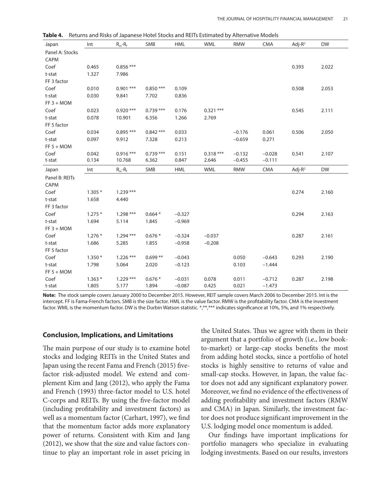| Japan           | Int               | $R_m - R_f$         | SMB               | <b>HML</b>           | <b>WML</b>     | <b>RMW</b>     | <b>CMA</b>           | $Adj-R2$   | <b>DW</b> |
|-----------------|-------------------|---------------------|-------------------|----------------------|----------------|----------------|----------------------|------------|-----------|
| Panel A: Stocks |                   |                     |                   |                      |                |                |                      |            |           |
| CAPM            |                   |                     |                   |                      |                |                |                      |            |           |
| Coef            | 0.465             | $0.856$ ***         |                   |                      |                |                |                      | 0.393      | 2.022     |
| t-stat          | 1.327             | 7.986               |                   |                      |                |                |                      |            |           |
| FF 3 factor     |                   |                     |                   |                      |                |                |                      |            |           |
| Coef            | 0.010             | $0.901$ ***         | $0.850***$        | 0.109                |                |                |                      | 0.508      | 2.053     |
| t-stat          | 0.030             | 9.841               | 7.702             | 0.836                |                |                |                      |            |           |
| $FF 3 + MOM$    |                   |                     |                   |                      |                |                |                      |            |           |
| Coef            | 0.023             | $0.920***$          | $0.739***$        | 0.176                | $0.321$ ***    |                |                      | 0.545      | 2.111     |
| t-stat          | 0.078             | 10.901              | 6.356             | 1.266                | 2.769          |                |                      |            |           |
| FF 5 factor     |                   |                     |                   |                      |                |                |                      |            |           |
| Coef            | 0.034             | $0.895***$          | $0.842$ ***       | 0.033                |                | $-0.176$       | 0.061                | 0.506      | 2.050     |
| t-stat          | 0.097             | 9.912               | 7.328             | 0.213                |                | $-0.659$       | 0.271                |            |           |
| $FF 5 + MOM$    |                   |                     |                   |                      |                |                |                      |            |           |
| Coef            | 0.042             | $0.916***$          | $0.739***$        | 0.151                | $0.318***$     | $-0.132$       | $-0.028$             | 0.541      | 2.107     |
| t-stat          | 0.134             | 10.768              | 6.362             | 0.847                | 2.646          | $-0.455$       | $-0.111$             |            |           |
|                 |                   |                     |                   |                      |                |                |                      |            |           |
| Japan           | Int               | $R_m - R_f$         | SMB               | <b>HML</b>           | <b>WML</b>     | <b>RMW</b>     | <b>CMA</b>           | Adj- $R^2$ | <b>DW</b> |
| Panel B: REITs  |                   |                     |                   |                      |                |                |                      |            |           |
| CAPM            |                   |                     |                   |                      |                |                |                      |            |           |
| Coef            | $1.305*$          | $1.239***$          |                   |                      |                |                |                      | 0.274      | 2.160     |
| t-stat          | 1.658             | 4.440               |                   |                      |                |                |                      |            |           |
| FF 3 factor     |                   |                     |                   |                      |                |                |                      |            |           |
| Coef            | $1.275*$          | $1.298***$          | $0.664*$          | $-0.327$             |                |                |                      | 0.294      | 2.163     |
| t-stat          | 1.694             | 5.114               | 1.845             | $-0.969$             |                |                |                      |            |           |
| $FF 3 + MOM$    |                   |                     |                   |                      |                |                |                      |            |           |
| Coef            | $1.276*$          | $1.294***$          | $0.676*$          | $-0.324$             | $-0.037$       |                |                      | 0.287      | 2.161     |
| t-stat          | 1.686             | 5.285               | 1.855             | $-0.958$             | $-0.208$       |                |                      |            |           |
| FF 5 factor     |                   |                     |                   |                      |                |                |                      |            |           |
| Coef            | $1.350*$          | $1.226$ ***         | $0.699**$         | $-0.043$             |                | 0.050          | $-0.643$             | 0.293      | 2.190     |
| t-stat          | 1.798             | 5.064               | 2.020             | $-0.123$             |                | 0.103          | $-1.444$             |            |           |
| $FF 5 + MOM$    |                   |                     |                   |                      |                |                |                      |            |           |
| Coef            | $1.363*$<br>1.805 | $1.229***$<br>5.177 | $0.676*$<br>1.894 | $-0.031$<br>$-0.087$ | 0.078<br>0.425 | 0.011<br>0.021 | $-0.712$<br>$-1.473$ | 0.287      | 2.198     |

**Table 4.** Returns and Risks of Japanese Hotel Stocks and REITs Estimated by Alternative Models

**Note:** The stock sample covers January 2000 to December 2015. However, REIT sample covers March 2006 to December 2015. Int is the intercept. FF is Fama-French factors. SMB is the size factor. HML is the value factor. RMW is the profitability factor. CMA is the investment factor. WML is the momentum factor. DW is the Durbin Watson statistic. \*,\*\*,\*\*\* indicates significance at 10%, 5%, and 1% respectively.

#### **Conclusion, Implications, and Limitations**

The main purpose of our study is to examine hotel stocks and lodging REITs in the United States and Japan using the recent Fama and French (2015) fivefactor risk-adjusted model. We extend and complement Kim and Jang (2012), who apply the Fama and French (1993) three-factor model to U.S. hotel C-corps and REITs. By using the five-factor model (including profitability and investment factors) as well as a momentum factor (Carhart, 1997), we find that the momentum factor adds more explanatory power of returns. Consistent with Kim and Jang (2012), we show that the size and value factors continue to play an important role in asset pricing in

the United States. Thus we agree with them in their argument that a portfolio of growth (i.e., low bookto-market) or large-cap stocks benefits the most from adding hotel stocks, since a portfolio of hotel stocks is highly sensitive to returns of value and small-cap stocks. However, in Japan, the value factor does not add any significant explanatory power. Moreover, we find no evidence of the effectiveness of adding profitability and investment factors (RMW and CMA) in Japan. Similarly, the investment factor does not produce significant improvement in the U.S. lodging model once momentum is added.

Our findings have important implications for portfolio managers who specialize in evaluating lodging investments. Based on our results, investors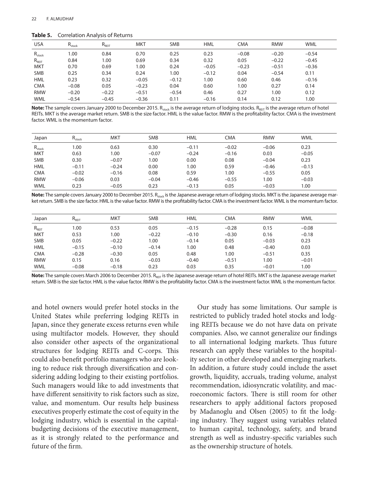**Table 5.** Correlation Analysis of Returns

| <b>USA</b>  | $R_{stock}$ | $R_{REIT}$ | MKT     | <b>SMB</b> | <b>HML</b> | <b>CMA</b> | <b>RMW</b> | <b>WML</b> |
|-------------|-------------|------------|---------|------------|------------|------------|------------|------------|
| $R_{stock}$ | 1.00        | 0.84       | 0.70    | 0.25       | 0.23       | $-0.08$    | $-0.20$    | $-0.54$    |
| $R_{REIT}$  | 0.84        | 1.00       | 0.69    | 0.34       | 0.32       | 0.05       | $-0.22$    | $-0.45$    |
| <b>MKT</b>  | 0.70        | 0.69       | 1.00    | 0.24       | $-0.05$    | $-0.23$    | $-0.51$    | $-0.36$    |
| <b>SMB</b>  | 0.25        | 0.34       | 0.24    | 1.00       | $-0.12$    | 0.04       | $-0.54$    | 0.11       |
| <b>HML</b>  | 0.23        | 0.32       | $-0.05$ | $-0.12$    | 1.00       | 0.60       | 0.46       | $-0.16$    |
| <b>CMA</b>  | $-0.08$     | 0.05       | $-0.23$ | 0.04       | 0.60       | 00.1       | 0.27       | 0.14       |
| <b>RMW</b>  | $-0.20$     | $-0.22$    | $-0.51$ | $-0.54$    | 0.46       | 0.27       | 1.00       | 0.12       |
| <b>WML</b>  | $-0.54$     | $-0.45$    | $-0.36$ | 0.11       | $-0.16$    | 0.14       | 0.12       | 1.00       |

Note: The sample covers January 2000 to December 2015. R<sub>stock</sub> is the average return of lodging stocks. R<sub>RFIT</sub> is the average return of hotel REITs. MKT is the average market return. SMB is the size factor. HML is the value factor. RMW is the profitability factor. CMA is the investment factor. WML is the momentum factor.

| Japan       | $R_{stock}$ | <b>MKT</b> | <b>SMB</b> | <b>HML</b> | CMA     | <b>RMW</b> | <b>WML</b> |
|-------------|-------------|------------|------------|------------|---------|------------|------------|
| $R_{stock}$ | 1.00        | 0.63       | 0.30       | $-0.11$    | $-0.02$ | $-0.06$    | 0.23       |
| <b>MKT</b>  | 0.63        | 1.00       | $-0.07$    | $-0.24$    | $-0.16$ | 0.03       | $-0.05$    |
| <b>SMB</b>  | 0.30        | $-0.07$    | 1.00       | 0.00       | 0.08    | $-0.04$    | 0.23       |
| <b>HML</b>  | $-0.11$     | $-0.24$    | 0.00       | 1.00       | 0.59    | $-0.46$    | $-0.13$    |
| <b>CMA</b>  | $-0.02$     | $-0.16$    | 0.08       | 0.59       | 1.00    | $-0.55$    | 0.05       |
| <b>RMW</b>  | $-0.06$     | 0.03       | $-0.04$    | $-0.46$    | $-0.55$ | 1.00       | $-0.03$    |
| <b>WML</b>  | 0.23        | $-0.05$    | 0.23       | $-0.13$    | 0.05    | $-0.03$    | 1.00       |

Note: The sample covers January 2000 to December 2015. R<sub>stock</sub> is the Japanese average return of lodging stocks. MKT is the Japanese average market return. SMB is the size factor. HML is the value factor. RMW is the profitability factor. CMA is the investment factor. WML is the momentum factor.

| Japan      | $R_{\text{REIT}}$ | <b>MKT</b> | <b>SMB</b> | <b>HML</b> | <b>CMA</b> | <b>RMW</b> | <b>WML</b> |
|------------|-------------------|------------|------------|------------|------------|------------|------------|
| $R_{REIT}$ | 1.00              | 0.53       | 0.05       | $-0.15$    | $-0.28$    | 0.15       | $-0.08$    |
| <b>MKT</b> | 0.53              | 00.1       | $-0.22$    | $-0.10$    | $-0.30$    | 0.16       | $-0.18$    |
| <b>SMB</b> | 0.05              | $-0.22$    | 1.00       | $-0.14$    | 0.05       | $-0.03$    | 0.23       |
| <b>HML</b> | $-0.15$           | $-0.10$    | $-0.14$    | 1.00       | 0.48       | $-0.40$    | 0.03       |
| <b>CMA</b> | $-0.28$           | $-0.30$    | 0.05       | 0.48       | 1.00       | $-0.51$    | 0.35       |
| <b>RMW</b> | 0.15              | 0.16       | $-0.03$    | $-0.40$    | $-0.51$    | 1.00       | $-0.01$    |
| <b>WML</b> | $-0.08$           | $-0.18$    | 0.23       | 0.03       | 0.35       | $-0.01$    | 1.00       |

Note: The sample covers March 2006 to December 2015. R<sub>REIT</sub> is the Japanese average return of hotel REITs. MKT is the Japanese average market return. SMB is the size factor. HML is the value factor. RMW is the profitability factor. CMA is the investment factor. WML is the momentum factor.

and hotel owners would prefer hotel stocks in the United States while preferring lodging REITs in Japan, since they generate excess returns even while using multifactor models. However, they should also consider other aspects of the organizational structures for lodging REITs and C-corps. This could also benefit portfolio managers who are looking to reduce risk through diversification and considering adding lodging to their existing portfolios. Such managers would like to add investments that have different sensitivity to risk factors such as size, value, and momentum. Our results help business executives properly estimate the cost of equity in the lodging industry, which is essential in the capitalbudgeting decisions of the executive management, as it is strongly related to the performance and future of the firm.

Our study has some limitations. Our sample is restricted to publicly traded hotel stocks and lodging REITs because we do not have data on private companies. Also, we cannot generalize our findings to all international lodging markets. Thus future research can apply these variables to the hospitality sector in other developed and emerging markets. In addition, a future study could include the asset growth, liquidity, accruals, trading volume, analyst recommendation, idiosyncratic volatility, and macroeconomic factors. There is still room for other researchers to apply additional factors proposed by Madanoglu and Olsen (2005) to fit the lodging industry. They suggest using variables related to human capital, technology, safety, and brand strength as well as industry-specific variables such as the ownership structure of hotels.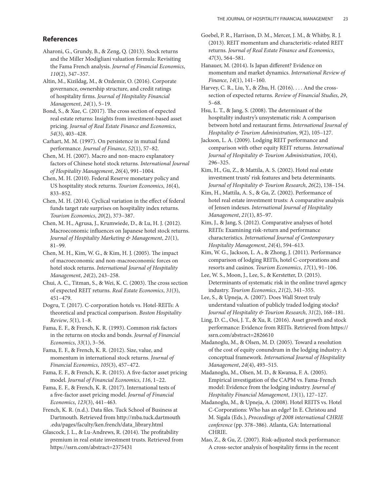# **References**

Aharoni, G., Grundy, B., & Zeng, Q. (2013). Stock returns and the Miller Modigliani valuation formula: Revisiting the Fama French analysis. *Journal of Financial Economics*, *110*(2), 347–357.

Altin, M., Kizildag, M., & Ozdemir, O. (2016). Corporate governance, ownership structure, and credit ratings of hospitality firms. *Journal of Hospitality Financial Management*, *24*(1), 5–19.

Bond, S., & Xue, C. (2017). The cross section of expected real estate returns: Insights from investment-based asset pricing. *Journal of Real Estate Finance and Economics*, *54*(3), 403–428.

Carhart, M. M. (1997). On persistence in mutual fund performance. *Journal of Finance*, *52*(1), 57–82.

Chen, M. H. (2007). Macro and non-macro explanatory factors of Chinese hotel stock returns. *International Journal of Hospitality Management*, *26*(4), 991–1004.

Chen, M. H. (2010). Federal Reserve monetary policy and US hospitality stock returns. *Tourism Economics*, *16*(4), 833–852.

Chen, M. H. (2014). Cyclical variation in the effect of federal funds target rate surprises on hospitality index returns. *Tourism Economics*, *20*(2), 373–387.

Chen, M. H., Agrusa, J., Krumwiede, D., & Lu, H. J. (2012). Macroeconomic influences on Japanese hotel stock returns. *Journal of Hospitality Marketing & Management*, *21*(1), 81–99.

Chen, M. H., Kim, W. G., & Kim, H. J. (2005). The impact of macroeconomic and non-macroeconomic forces on hotel stock returns. *International Journal of Hospitality Management*, *24*(2), 243–258.

Chui, A. C., Titman, S., & Wei, K. C. (2003). The cross section of expected REIT returns. *Real Estate Economics*, *31*(3), 451–479.

Dogru, T. (2017). C-corporation hotels vs. Hotel-REITs: A theoretical and practical comparison. *Boston Hospitality Review*, *5*(1), 1–8.

Fama, E. F., & French, K. R. (1993). Common risk factors in the returns on stocks and bonds. *Journal of Financial Economics*, *33*(1), 3–56.

Fama, E. F., & French, K. R. (2012). Size, value, and momentum in international stock returns. *Journal of Financial Economics*, *105*(3), 457–472.

Fama, E. F., & French, K. R. (2015). A five-factor asset pricing model. *Journal of Financial Economics*, *116*, 1–22.

Fama, E. F., & French, K. R. (2017). International tests of a five-factor asset pricing model. *Journal of Financial Economics*, *123*(3), 441–463.

French, K. R. (n.d.). Data files. Tuck School of Business at Dartmouth. Retrieved from http://mba.tuck.dartmouth .edu/pages/faculty/ken.french/data\_library.html

Glascock, J. L., & Lu-Andrews, R. (2014). The profitability premium in real estate investment trusts. Retrieved from https://ssrn.com/abstract=2375431

Goebel, P. R., Harrison, D. M., Mercer, J. M., & Whitby, R. J. (2013). REIT momentum and characteristic-related REIT returns. *Journal of Real Estate Finance and Economics*, *47*(3), 564–581.

Hanauer, M. (2014). Is Japan different? Evidence on momentum and market dynamics. *International Review of Finance*, *14*(1), 141–160.

Harvey, C. R., Liu, Y., & Zhu, H. (2016). . . . And the crosssection of expected returns. *Review of Financial Studies*, *29*, 5–68.

Hsu, L. T., & Jang, S. (2008). The determinant of the hospitality industry's unsystematic risk: A comparison between hotel and restaurant firms. *International Journal of Hospitality & Tourism Administration*, *9*(2), 105–127.

Jackson, L. A. (2009). Lodging REIT performance and comparison with other equity REIT returns. *International Journal of Hospitality & Tourism Administration*, *10*(4), 296–325.

Kim, H., Gu, Z., & Mattila, A. S. (2002). Hotel real estate investment trusts' risk features and beta determinants. *Journal of Hospitality & Tourism Research*, *26*(2), 138–154.

Kim, H., Mattila, A. S., & Gu, Z. (2002). Performance of hotel real estate investment trusts: A comparative analysis of Jensen indexes. *International Journal of Hospitality Management*, *21*(1), 85–97.

Kim, J., & Jang, S. (2012). Comparative analyses of hotel REITs: Examining risk-return and performance characteristics. *International Journal of Contemporary Hospitality Management*, *24*(4), 594–613.

Kim, W. G., Jackson, L. A., & Zhong, J. (2011). Performance comparison of lodging REITs, hotel C-corporations and resorts and casinos. *Tourism Economics*, *17*(1), 91–106.

Lee, W. S., Moon, J., Lee, S., & Kerstetter, D. (2015). Determinants of systematic risk in the online travel agency industry. *Tourism Economics*, *21*(2), 341–355.

Lee, S., & Upneja, A. (2007). Does Wall Street truly understand valuation of publicly traded lodging stocks? *Journal of Hospitality & Tourism Research*, *31*(2), 168–181.

Ling, D. C., Ooi, J. T., & Xu, R. (2016). Asset growth and stock performance: Evidence from REITs. Retrieved from https:// ssrn.com/abstract=2826610

Madanoglu, M., & Olsen, M. D. (2005). Toward a resolution of the cost of equity conundrum in the lodging industry: A conceptual framework. *International Journal of Hospitality Management*, *24*(4), 493–515.

Madanoglu, M., Olsen, M. D., & Kwansa, F. A. (2005). Empirical investigation of the CAPM vs. Fama-French model: Evidence from the lodging industry. *Journal of Hospitality Financial Management*, *13*(1), 127–127.

Madanoglu, M., & Upneja, A. (2008). Hotel REITS vs. Hotel C-Corporations: Who has an edge? In E. Christou and M. Sigala (Eds.), *Proceedings of 2008 international CHRIE conference* (pp. 378–386). Atlanta, GA: International CHRIE.

Mao, Z., & Gu, Z. (2007). Risk-adjusted stock performance: A cross-sector analysis of hospitality firms in the recent